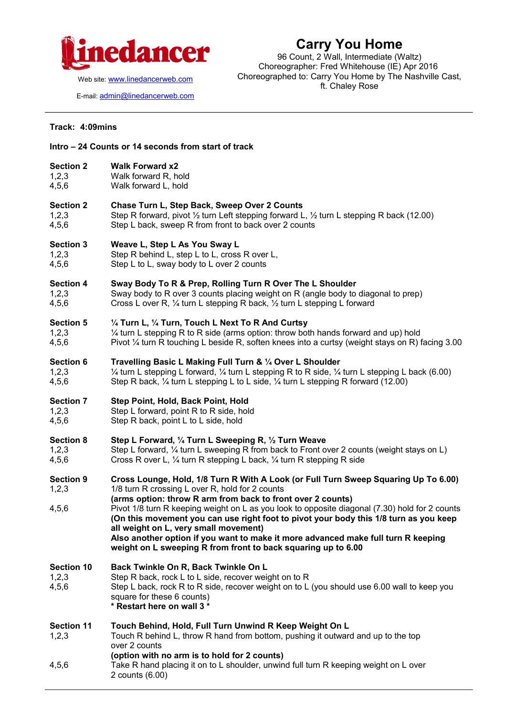

Web site: [www.linedancerweb.com](http://www.linedancermagazine.com/)

E-mail: [admin@linedancerweb.com](mailto:admin@linedancerweb.com)

## **Carry You Home**

96 Count, 2 Wall, Intermediate (Waltz) Choreographer: Fred Whitehouse (IE) Apr 2016 Choreographed to: Carry You Home by The Nashville Cast, ft. Chaley Rose

## **Track: 4:09mins**

**Intro – 24 Counts or 14 seconds from start of track**

|                                     | $-$ 27 Octaries of the seconds from star                                                                                                                                                                                                                                                                                                                                                                                                                                                                                                                                                        |
|-------------------------------------|-------------------------------------------------------------------------------------------------------------------------------------------------------------------------------------------------------------------------------------------------------------------------------------------------------------------------------------------------------------------------------------------------------------------------------------------------------------------------------------------------------------------------------------------------------------------------------------------------|
| <b>Section 2</b>                    | <b>Walk Forward x2</b>                                                                                                                                                                                                                                                                                                                                                                                                                                                                                                                                                                          |
| 1,2,3                               | Walk forward R, hold                                                                                                                                                                                                                                                                                                                                                                                                                                                                                                                                                                            |
| 4,5,6                               | Walk forward L, hold                                                                                                                                                                                                                                                                                                                                                                                                                                                                                                                                                                            |
| <b>Section 2</b>                    | Chase Turn L, Step Back, Sweep Over 2 Counts                                                                                                                                                                                                                                                                                                                                                                                                                                                                                                                                                    |
| 1,2,3                               | Step R forward, pivot $\frac{1}{2}$ turn Left stepping forward L, $\frac{1}{2}$ turn L stepping R back (12.00)                                                                                                                                                                                                                                                                                                                                                                                                                                                                                  |
| 4,5,6                               | Step L back, sweep R from front to back over 2 counts                                                                                                                                                                                                                                                                                                                                                                                                                                                                                                                                           |
| <b>Section 3</b>                    | Weave L, Step L As You Sway L                                                                                                                                                                                                                                                                                                                                                                                                                                                                                                                                                                   |
| 1,2,3                               | Step R behind L, step L to L, cross R over L,                                                                                                                                                                                                                                                                                                                                                                                                                                                                                                                                                   |
| 4,5,6                               | Step L to L, sway body to L over 2 counts                                                                                                                                                                                                                                                                                                                                                                                                                                                                                                                                                       |
| <b>Section 4</b>                    | Sway Body To R & Prep, Rolling Turn R Over The L Shoulder                                                                                                                                                                                                                                                                                                                                                                                                                                                                                                                                       |
| 1,2,3                               | Sway body to R over 3 counts placing weight on R (angle body to diagonal to prep)                                                                                                                                                                                                                                                                                                                                                                                                                                                                                                               |
| 4,5,6                               | Cross L over R, 1/4 turn L stepping R back, 1/2 turn L stepping L forward                                                                                                                                                                                                                                                                                                                                                                                                                                                                                                                       |
| <b>Section 5</b>                    | 1/4 Turn L, 1/4 Turn, Touch L Next To R And Curtsy                                                                                                                                                                                                                                                                                                                                                                                                                                                                                                                                              |
| 1,2,3                               | 1/4 turn L stepping R to R side (arms option: throw both hands forward and up) hold                                                                                                                                                                                                                                                                                                                                                                                                                                                                                                             |
| 4,5,6                               | Pivot 1/4 turn R touching L beside R, soften knees into a curtsy (weight stays on R) facing 3.00                                                                                                                                                                                                                                                                                                                                                                                                                                                                                                |
| <b>Section 6</b>                    | Travelling Basic L Making Full Turn & 1/4 Over L Shoulder                                                                                                                                                                                                                                                                                                                                                                                                                                                                                                                                       |
| 1,2,3                               | $\frac{1}{4}$ turn L stepping L forward, $\frac{1}{4}$ turn L stepping R to R side, $\frac{1}{4}$ turn L stepping L back (6.00)                                                                                                                                                                                                                                                                                                                                                                                                                                                                 |
| 4,5,6                               | Step R back, 1/4 turn L stepping L to L side, 1/4 turn L stepping R forward (12.00)                                                                                                                                                                                                                                                                                                                                                                                                                                                                                                             |
| <b>Section 7</b>                    | Step Point, Hold, Back Point, Hold                                                                                                                                                                                                                                                                                                                                                                                                                                                                                                                                                              |
| 1,2,3                               | Step L forward, point R to R side, hold                                                                                                                                                                                                                                                                                                                                                                                                                                                                                                                                                         |
| 4,5,6                               | Step R back, point L to L side, hold                                                                                                                                                                                                                                                                                                                                                                                                                                                                                                                                                            |
| <b>Section 8</b>                    | Step L Forward, 1/4 Turn L Sweeping R, 1/2 Turn Weave                                                                                                                                                                                                                                                                                                                                                                                                                                                                                                                                           |
| 1,2,3                               | Step L forward, 1/4 turn L sweeping R from back to Front over 2 counts (weight stays on L)                                                                                                                                                                                                                                                                                                                                                                                                                                                                                                      |
| 4,5,6                               | Cross R over L, 1/4 turn R stepping L back, 1/4 turn R stepping R side                                                                                                                                                                                                                                                                                                                                                                                                                                                                                                                          |
| <b>Section 9</b><br>1,2,3<br>4,5,6  | Cross Lounge, Hold, 1/8 Turn R With A Look (or Full Turn Sweep Squaring Up To 6.00)<br>1/8 turn R crossing L over R, hold for 2 counts<br>(arms option: throw R arm from back to front over 2 counts)<br>Pivot 1/8 turn R keeping weight on L as you look to opposite diagonal (7.30) hold for 2 counts<br>(On this movement you can use right foot to pivot your body this 1/8 turn as you keep<br>all weight on L, very small movement)<br>Also another option if you want to make it more advanced make full turn R keeping<br>weight on L sweeping R from front to back squaring up to 6.00 |
| <b>Section 10</b><br>1,2,3<br>4,5,6 | Back Twinkle On R, Back Twinkle On L<br>Step R back, rock L to L side, recover weight on to R<br>Step L back, rock R to R side, recover weight on to L (you should use 6.00 wall to keep you<br>square for these 6 counts)<br>* Restart here on wall 3 *                                                                                                                                                                                                                                                                                                                                        |
| <b>Section 11</b><br>1,2,3          | Touch Behind, Hold, Full Turn Unwind R Keep Weight On L<br>Touch R behind L, throw R hand from bottom, pushing it outward and up to the top<br>over 2 counts<br>(option with no arm is to hold for 2 counts)                                                                                                                                                                                                                                                                                                                                                                                    |
| 4,5,6                               | Take R hand placing it on to L shoulder, unwind full turn R keeping weight on L over<br>2 counts (6.00)                                                                                                                                                                                                                                                                                                                                                                                                                                                                                         |